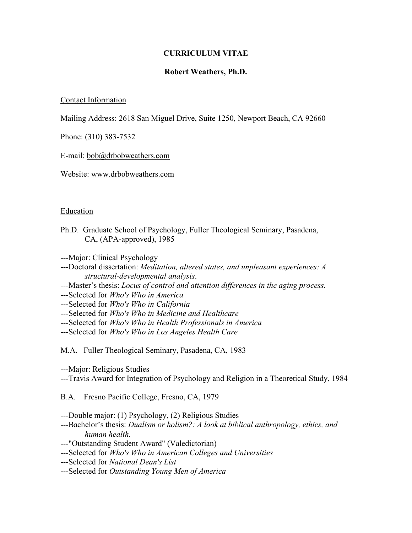## **CURRICULUM VITAE**

# **Robert Weathers, Ph.D.**

## Contact Information

Mailing Address: 2618 San Miguel Drive, Suite 1250, Newport Beach, CA 92660

Phone: (310) 383-7532

#### E-mail: [bob@drbobweathers.com](about:blank)

Website: [www.drbobweathers.com](about:blank)

#### Education

Ph.D. Graduate School of Psychology, Fuller Theological Seminary, Pasadena, CA, (APA-approved), 1985

---Major: Clinical Psychology

- ---Doctoral dissertation: *Meditation, altered states, and unpleasant experiences: A structural-developmental analysis*.
- ---Master's thesis: *Locus of control and attention differences in the aging process.*

---Selected for *Who's Who in America*

---Selected for *Who's Who in California*

---Selected for *Who's Who in Medicine and Healthcare* 

---Selected for *Who's Who in Health Professionals in America* 

---Selected for *Who's Who in Los Angeles Health Care* 

M.A. Fuller Theological Seminary, Pasadena, CA, 1983

---Major: Religious Studies

---Travis Award for Integration of Psychology and Religion in a Theoretical Study, 1984

B.A. Fresno Pacific College, Fresno, CA, 1979

---Double major: (1) Psychology, (2) Religious Studies

---Bachelor's thesis: *Dualism or holism?: A look at biblical anthropology, ethics, and human health.* 

---"Outstanding Student Award" (Valedictorian)

---Selected for *Who's Who in American Colleges and Universities* 

---Selected for *National Dean's List* 

---Selected for *Outstanding Young Men of America*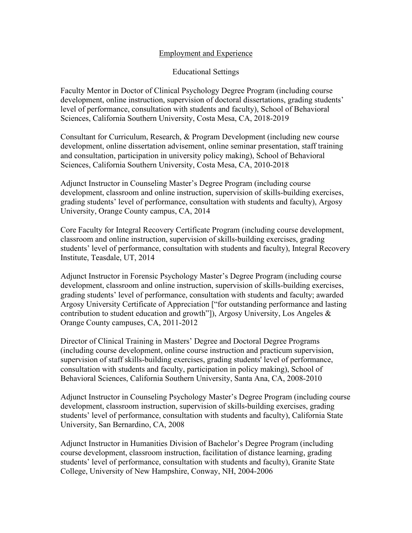## Employment and Experience

# Educational Settings

Faculty Mentor in Doctor of Clinical Psychology Degree Program (including course development, online instruction, supervision of doctoral dissertations, grading students' level of performance, consultation with students and faculty), School of Behavioral Sciences, California Southern University, Costa Mesa, CA, 2018-2019

Consultant for Curriculum, Research, & Program Development (including new course development, online dissertation advisement, online seminar presentation, staff training and consultation, participation in university policy making), School of Behavioral Sciences, California Southern University, Costa Mesa, CA, 2010-2018

Adjunct Instructor in Counseling Master's Degree Program (including course development, classroom and online instruction, supervision of skills-building exercises, grading students' level of performance, consultation with students and faculty), Argosy University, Orange County campus, CA, 2014

Core Faculty for Integral Recovery Certificate Program (including course development, classroom and online instruction, supervision of skills-building exercises, grading students' level of performance, consultation with students and faculty), Integral Recovery Institute, Teasdale, UT, 2014

Adjunct Instructor in Forensic Psychology Master's Degree Program (including course development, classroom and online instruction, supervision of skills-building exercises, grading students' level of performance, consultation with students and faculty; awarded Argosy University Certificate of Appreciation ["for outstanding performance and lasting contribution to student education and growth"]), Argosy University, Los Angeles & Orange County campuses, CA, 2011-2012

Director of Clinical Training in Masters' Degree and Doctoral Degree Programs (including course development, online course instruction and practicum supervision, supervision of staff skills-building exercises, grading students' level of performance, consultation with students and faculty, participation in policy making), School of Behavioral Sciences, California Southern University, Santa Ana, CA, 2008-2010

Adjunct Instructor in Counseling Psychology Master's Degree Program (including course development, classroom instruction, supervision of skills-building exercises, grading students' level of performance, consultation with students and faculty), California State University, San Bernardino, CA, 2008

Adjunct Instructor in Humanities Division of Bachelor's Degree Program (including course development, classroom instruction, facilitation of distance learning, grading students' level of performance, consultation with students and faculty), Granite State College, University of New Hampshire, Conway, NH, 2004-2006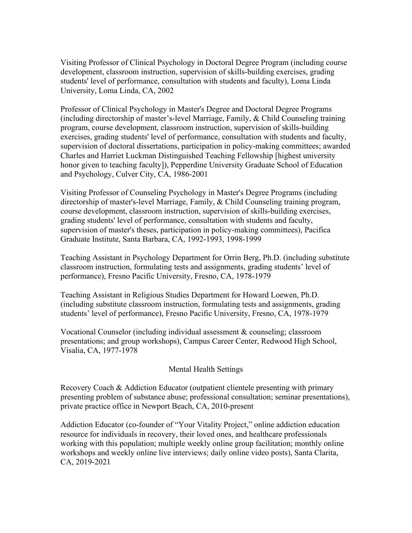Visiting Professor of Clinical Psychology in Doctoral Degree Program (including course development, classroom instruction, supervision of skills-building exercises, grading students' level of performance, consultation with students and faculty), Loma Linda University, Loma Linda, CA, 2002

Professor of Clinical Psychology in Master's Degree and Doctoral Degree Programs (including directorship of master's-level Marriage, Family, & Child Counseling training program, course development, classroom instruction, supervision of skills-building exercises, grading students' level of performance, consultation with students and faculty, supervision of doctoral dissertations, participation in policy-making committees; awarded Charles and Harriet Luckman Distinguished Teaching Fellowship [highest university honor given to teaching faculty]), Pepperdine University Graduate School of Education and Psychology, Culver City, CA, 1986-2001

Visiting Professor of Counseling Psychology in Master's Degree Programs (including directorship of master's-level Marriage, Family, & Child Counseling training program, course development, classroom instruction, supervision of skills-building exercises, grading students' level of performance, consultation with students and faculty, supervision of master's theses, participation in policy-making committees), Pacifica Graduate Institute, Santa Barbara, CA, 1992-1993, 1998-1999

Teaching Assistant in Psychology Department for Orrin Berg, Ph.D. (including substitute classroom instruction, formulating tests and assignments, grading students' level of performance), Fresno Pacific University, Fresno, CA, 1978-1979

Teaching Assistant in Religious Studies Department for Howard Loewen, Ph.D. (including substitute classroom instruction, formulating tests and assignments, grading students' level of performance), Fresno Pacific University, Fresno, CA, 1978-1979

Vocational Counselor (including individual assessment & counseling; classroom presentations; and group workshops), Campus Career Center, Redwood High School, Visalia, CA, 1977-1978

## Mental Health Settings

Recovery Coach & Addiction Educator (outpatient clientele presenting with primary presenting problem of substance abuse; professional consultation; seminar presentations), private practice office in Newport Beach, CA, 2010-present

Addiction Educator (co-founder of "Your Vitality Project," online addiction education resource for individuals in recovery, their loved ones, and healthcare professionals working with this population; multiple weekly online group facilitation; monthly online workshops and weekly online live interviews; daily online video posts), Santa Clarita, CA, 2019-2021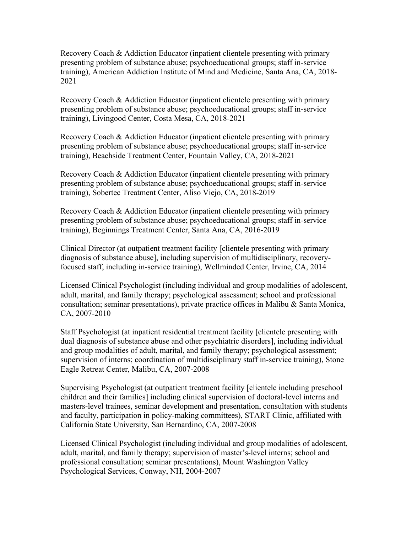Recovery Coach & Addiction Educator (inpatient clientele presenting with primary presenting problem of substance abuse; psychoeducational groups; staff in-service training), American Addiction Institute of Mind and Medicine, Santa Ana, CA, 2018- 2021

Recovery Coach & Addiction Educator (inpatient clientele presenting with primary presenting problem of substance abuse; psychoeducational groups; staff in-service training), Livingood Center, Costa Mesa, CA, 2018-2021

Recovery Coach & Addiction Educator (inpatient clientele presenting with primary presenting problem of substance abuse; psychoeducational groups; staff in-service training), Beachside Treatment Center, Fountain Valley, CA, 2018-2021

Recovery Coach & Addiction Educator (inpatient clientele presenting with primary presenting problem of substance abuse; psychoeducational groups; staff in-service training), Sobertec Treatment Center, Aliso Viejo, CA, 2018-2019

Recovery Coach & Addiction Educator (inpatient clientele presenting with primary presenting problem of substance abuse; psychoeducational groups; staff in-service training), Beginnings Treatment Center, Santa Ana, CA, 2016-2019

Clinical Director (at outpatient treatment facility [clientele presenting with primary diagnosis of substance abuse], including supervision of multidisciplinary, recoveryfocused staff, including in-service training), Wellminded Center, Irvine, CA, 2014

Licensed Clinical Psychologist (including individual and group modalities of adolescent, adult, marital, and family therapy; psychological assessment; school and professional consultation; seminar presentations), private practice offices in Malibu & Santa Monica, CA, 2007-2010

Staff Psychologist (at inpatient residential treatment facility [clientele presenting with dual diagnosis of substance abuse and other psychiatric disorders], including individual and group modalities of adult, marital, and family therapy; psychological assessment; supervision of interns; coordination of multidisciplinary staff in-service training), Stone Eagle Retreat Center, Malibu, CA, 2007-2008

Supervising Psychologist (at outpatient treatment facility [clientele including preschool children and their families] including clinical supervision of doctoral-level interns and masters-level trainees, seminar development and presentation, consultation with students and faculty, participation in policy-making committees), START Clinic, affiliated with California State University, San Bernardino, CA, 2007-2008

Licensed Clinical Psychologist (including individual and group modalities of adolescent, adult, marital, and family therapy; supervision of master's-level interns; school and professional consultation; seminar presentations), Mount Washington Valley Psychological Services, Conway, NH, 2004-2007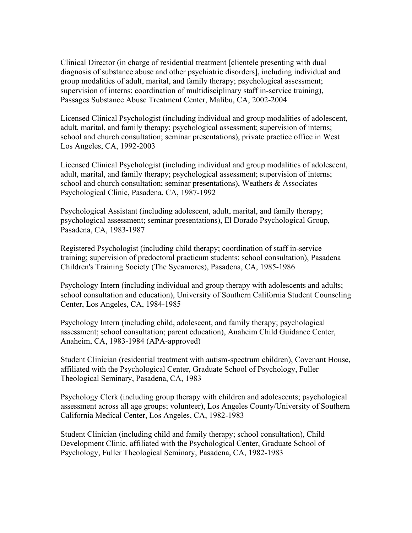Clinical Director (in charge of residential treatment [clientele presenting with dual diagnosis of substance abuse and other psychiatric disorders], including individual and group modalities of adult, marital, and family therapy; psychological assessment; supervision of interns; coordination of multidisciplinary staff in-service training), Passages Substance Abuse Treatment Center, Malibu, CA, 2002-2004

Licensed Clinical Psychologist (including individual and group modalities of adolescent, adult, marital, and family therapy; psychological assessment; supervision of interns; school and church consultation; seminar presentations), private practice office in West Los Angeles, CA, 1992-2003

Licensed Clinical Psychologist (including individual and group modalities of adolescent, adult, marital, and family therapy; psychological assessment; supervision of interns; school and church consultation; seminar presentations), Weathers & Associates Psychological Clinic, Pasadena, CA, 1987-1992

Psychological Assistant (including adolescent, adult, marital, and family therapy; psychological assessment; seminar presentations), El Dorado Psychological Group, Pasadena, CA, 1983-1987

Registered Psychologist (including child therapy; coordination of staff in-service training; supervision of predoctoral practicum students; school consultation), Pasadena Children's Training Society (The Sycamores), Pasadena, CA, 1985-1986

Psychology Intern (including individual and group therapy with adolescents and adults; school consultation and education), University of Southern California Student Counseling Center, Los Angeles, CA, 1984-1985

Psychology Intern (including child, adolescent, and family therapy; psychological assessment; school consultation; parent education), Anaheim Child Guidance Center, Anaheim, CA, 1983-1984 (APA-approved)

Student Clinician (residential treatment with autism-spectrum children), Covenant House, affiliated with the Psychological Center, Graduate School of Psychology, Fuller Theological Seminary, Pasadena, CA, 1983

Psychology Clerk (including group therapy with children and adolescents; psychological assessment across all age groups; volunteer), Los Angeles County/University of Southern California Medical Center, Los Angeles, CA, 1982-1983

Student Clinician (including child and family therapy; school consultation), Child Development Clinic, affiliated with the Psychological Center, Graduate School of Psychology, Fuller Theological Seminary, Pasadena, CA, 1982-1983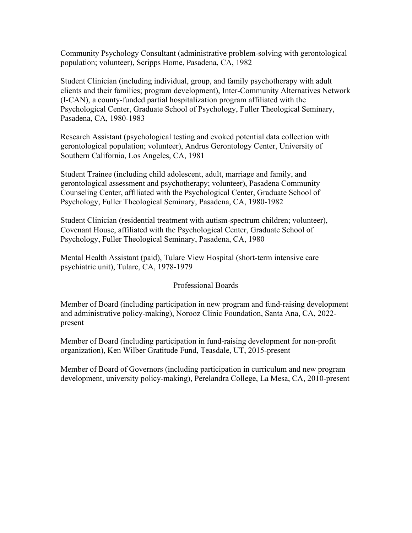Community Psychology Consultant (administrative problem-solving with gerontological population; volunteer), Scripps Home, Pasadena, CA, 1982

Student Clinician (including individual, group, and family psychotherapy with adult clients and their families; program development), Inter-Community Alternatives Network (I-CAN), a county-funded partial hospitalization program affiliated with the Psychological Center, Graduate School of Psychology, Fuller Theological Seminary, Pasadena, CA, 1980-1983

Research Assistant (psychological testing and evoked potential data collection with gerontological population; volunteer), Andrus Gerontology Center, University of Southern California, Los Angeles, CA, 1981

Student Trainee (including child adolescent, adult, marriage and family, and gerontological assessment and psychotherapy; volunteer), Pasadena Community Counseling Center, affiliated with the Psychological Center, Graduate School of Psychology, Fuller Theological Seminary, Pasadena, CA, 1980-1982

Student Clinician (residential treatment with autism-spectrum children; volunteer), Covenant House, affiliated with the Psychological Center, Graduate School of Psychology, Fuller Theological Seminary, Pasadena, CA, 1980

Mental Health Assistant (paid), Tulare View Hospital (short-term intensive care psychiatric unit), Tulare, CA, 1978-1979

# Professional Boards

Member of Board (including participation in new program and fund-raising development and administrative policy-making), Norooz Clinic Foundation, Santa Ana, CA, 2022 present

Member of Board (including participation in fund-raising development for non-profit organization), Ken Wilber Gratitude Fund, Teasdale, UT, 2015-present

Member of Board of Governors (including participation in curriculum and new program development, university policy-making), Perelandra College, La Mesa, CA, 2010-present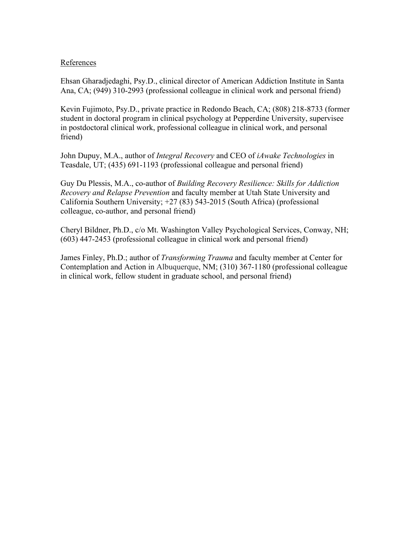## References

Ehsan Gharadjedaghi, Psy.D., clinical director of American Addiction Institute in Santa Ana, CA; (949) 310-2993 (professional colleague in clinical work and personal friend)

Kevin Fujimoto, Psy.D., private practice in Redondo Beach, CA; (808) 218-8733 (former student in doctoral program in clinical psychology at Pepperdine University, supervisee in postdoctoral clinical work, professional colleague in clinical work, and personal friend)

John Dupuy, M.A., author of *Integral Recovery* and CEO of *iAwake Technologies* in Teasdale, UT; (435) 691-1193 (professional colleague and personal friend)

Guy Du Plessis, M.A., co-author of *Building Recovery Resilience: Skills for Addiction Recovery and Relapse Prevention* and faculty member at Utah State University and California Southern University;  $+27(83)$  543-2015 (South Africa) (professional colleague, co-author, and personal friend)

Cheryl Bildner, Ph.D., c/o Mt. Washington Valley Psychological Services, Conway, NH; (603) 447-2453 (professional colleague in clinical work and personal friend)

James Finley, Ph.D.; author of *Transforming Trauma* and faculty member at Center for Contemplation and Action in Albuquerque, NM; (310) 367-1180 (professional colleague in clinical work, fellow student in graduate school, and personal friend)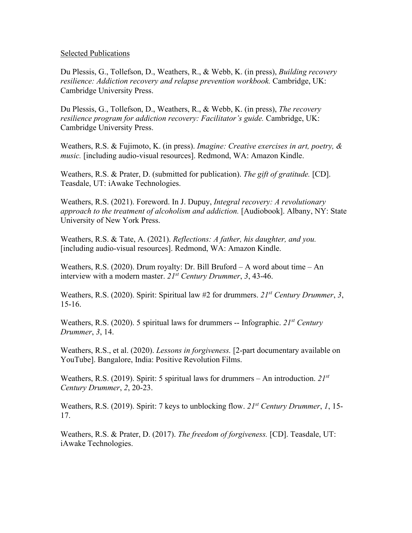## Selected Publications

Du Plessis, G., Tollefson, D., Weathers, R., & Webb, K. (in press), *Building recovery resilience: Addiction recovery and relapse prevention workbook.* Cambridge, UK: Cambridge University Press.

Du Plessis, G., Tollefson, D., Weathers, R., & Webb, K. (in press), *The recovery resilience program for addiction recovery: Facilitator's guide.* Cambridge, UK: Cambridge University Press.

Weathers, R.S. & Fujimoto, K. (in press). *Imagine: Creative exercises in art, poetry, & music.* [including audio-visual resources]. Redmond, WA: Amazon Kindle.

Weathers, R.S. & Prater, D. (submitted for publication). *The gift of gratitude.* [CD]. Teasdale, UT: iAwake Technologies.

Weathers, R.S. (2021). Foreword. In J. Dupuy, *Integral recovery: A revolutionary approach to the treatment of alcoholism and addiction.* [Audiobook]. Albany, NY: State University of New York Press.

Weathers, R.S. & Tate, A. (2021). *Reflections: A father, his daughter, and you.*  [including audio-visual resources]. Redmond, WA: Amazon Kindle.

Weathers, R.S. (2020). Drum royalty: Dr. Bill Bruford – A word about time – An interview with a modern master. *21st Century Drummer*, *3*, 43-46.

Weathers, R.S. (2020). Spirit: Spiritual law #2 for drummers. *21st Century Drummer*, *3*, 15-16.

Weathers, R.S. (2020). 5 spiritual laws for drummers -- Infographic. *21st Century Drummer*, *3*, 14.

Weathers, R.S., et al. (2020). *Lessons in forgiveness.* [2-part documentary available on YouTube]. Bangalore, India: Positive Revolution Films.

Weathers, R.S. (2019). Spirit: 5 spiritual laws for drummers – An introduction. *21st Century Drummer*, *2*, 20-23.

Weathers, R.S. (2019). Spirit: 7 keys to unblocking flow. *21st Century Drummer*, *1*, 15- 17.

Weathers, R.S. & Prater, D. (2017). *The freedom of forgiveness.* [CD]. Teasdale, UT: iAwake Technologies.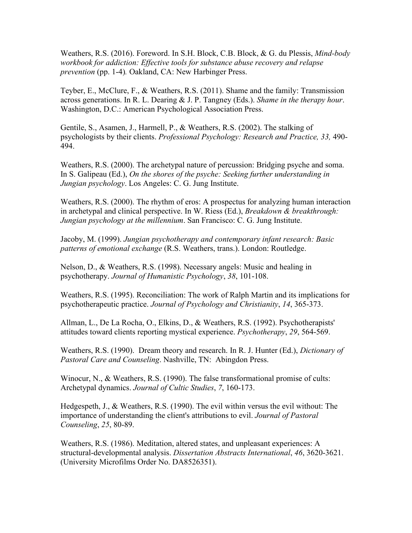Weathers, R.S. (2016). Foreword. In S.H. Block, C.B. Block, & G. du Plessis, *Mind-body workbook for addiction: Effective tools for substance abuse recovery and relapse prevention* (pp. 1-4)*.* Oakland, CA: New Harbinger Press.

Teyber, E., McClure, F., & Weathers, R.S. (2011). Shame and the family: Transmission across generations. In R. L. Dearing & J. P. Tangney (Eds.). *Shame in the therapy hour*. Washington, D.C.: American Psychological Association Press.

Gentile, S., Asamen, J., Harmell, P., & Weathers, R.S. (2002). The stalking of psychologists by their clients. *Professional Psychology: Research and Practice, 33,* 490- 494.

Weathers, R.S. (2000). The archetypal nature of percussion: Bridging psyche and soma. In S. Galipeau (Ed.), *On the shores of the psyche: Seeking further understanding in Jungian psychology*. Los Angeles: C. G. Jung Institute.

Weathers, R.S. (2000). The rhythm of eros: A prospectus for analyzing human interaction in archetypal and clinical perspective. In W. Riess (Ed.), *Breakdown & breakthrough: Jungian psychology at the millennium*. San Francisco: C. G. Jung Institute.

Jacoby, M. (1999). *Jungian psychotherapy and contemporary infant research: Basic patterns of emotional exchange* (R.S. Weathers, trans.). London: Routledge.

Nelson, D., & Weathers, R.S. (1998). Necessary angels: Music and healing in psychotherapy. *Journal of Humanistic Psychology*, *38*, 101-108.

Weathers, R.S. (1995). Reconciliation: The work of Ralph Martin and its implications for psychotherapeutic practice. *Journal of Psychology and Christianity*, *14*, 365-373.

Allman, L., De La Rocha, O., Elkins, D., & Weathers, R.S. (1992). Psychotherapists' attitudes toward clients reporting mystical experience. *Psychotherapy*, *29*, 564-569.

Weathers, R.S. (1990). Dream theory and research. In R. J. Hunter (Ed.), *Dictionary of Pastoral Care and Counseling*. Nashville, TN: Abingdon Press.

Winocur, N., & Weathers, R.S. (1990). The false transformational promise of cults: Archetypal dynamics. *Journal of Cultic Studies*, *7*, 160-173.

Hedgespeth, J., & Weathers, R.S. (1990). The evil within versus the evil without: The importance of understanding the client's attributions to evil. *Journal of Pastoral Counseling*, *25*, 80-89.

Weathers, R.S. (1986). Meditation, altered states, and unpleasant experiences: A structural-developmental analysis. *Dissertation Abstracts International*, *46*, 3620-3621. (University Microfilms Order No. DA8526351).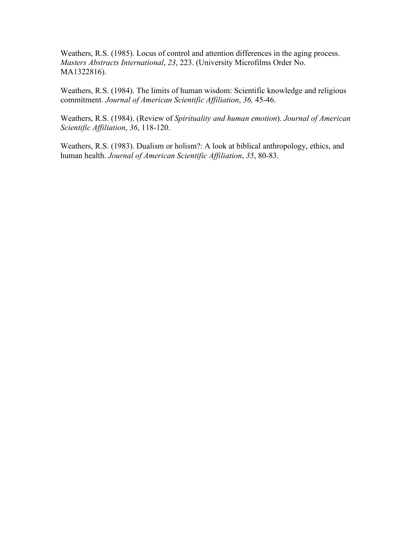Weathers, R.S. (1985). Locus of control and attention differences in the aging process. *Masters Abstracts International*, *23*, 223. (University Microfilms Order No. MA1322816).

Weathers, R.S. (1984). The limits of human wisdom: Scientific knowledge and religious commitment. *Journal of American Scientific Affiliation*, *36,* 45-46.

Weathers, R.S. (1984). (Review of *Spirituality and human emotion*). *Journal of American Scientific Affiliation*, *36*, 118-120.

Weathers, R.S. (1983). Dualism or holism?: A look at biblical anthropology, ethics, and human health. *Journal of American Scientific Affiliation*, *35*, 80-83.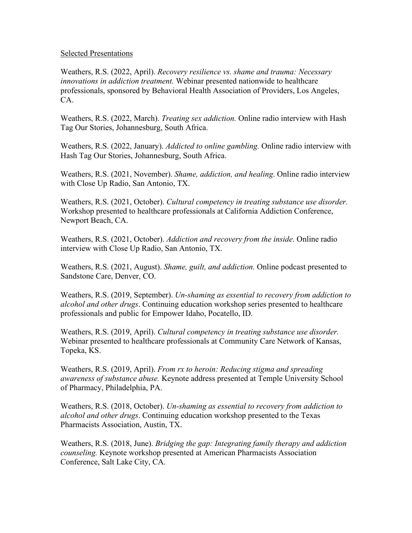#### Selected Presentations

Weathers, R.S. (2022, April). *Recovery resilience vs. shame and trauma: Necessary innovations in addiction treatment.* Webinar presented nationwide to healthcare professionals, sponsored by Behavioral Health Association of Providers, Los Angeles, CA.

Weathers, R.S. (2022, March). *Treating sex addiction.* Online radio interview with Hash Tag Our Stories, Johannesburg, South Africa.

Weathers, R.S. (2022, January). *Addicted to online gambling.* Online radio interview with Hash Tag Our Stories, Johannesburg, South Africa.

Weathers, R.S. (2021, November). *Shame, addiction, and healing*. Online radio interview with Close Up Radio, San Antonio, TX.

Weathers, R.S. (2021, October). *Cultural competency in treating substance use disorder.*  Workshop presented to healthcare professionals at California Addiction Conference, Newport Beach, CA.

Weathers, R.S. (2021, October). *Addiction and recovery from the inside*. Online radio interview with Close Up Radio, San Antonio, TX.

Weathers, R.S. (2021, August). *Shame, guilt, and addiction.* Online podcast presented to Sandstone Care, Denver, CO.

Weathers, R.S. (2019, September). *Un-shaming as essential to recovery from addiction to alcohol and other drugs*. Continuing education workshop series presented to healthcare professionals and public for Empower Idaho, Pocatello, ID.

Weathers, R.S. (2019, April). *Cultural competency in treating substance use disorder.*  Webinar presented to healthcare professionals at Community Care Network of Kansas, Topeka, KS.

Weathers, R.S. (2019, April). *From rx to heroin: Reducing stigma and spreading awareness of substance abuse.* Keynote address presented at Temple University School of Pharmacy, Philadelphia, PA.

Weathers, R.S. (2018, October). *Un-shaming as essential to recovery from addiction to alcohol and other drugs*. Continuing education workshop presented to the Texas Pharmacists Association, Austin, TX.

Weathers, R.S. (2018, June). *Bridging the gap: Integrating family therapy and addiction counseling.* Keynote workshop presented at American Pharmacists Association Conference, Salt Lake City, CA.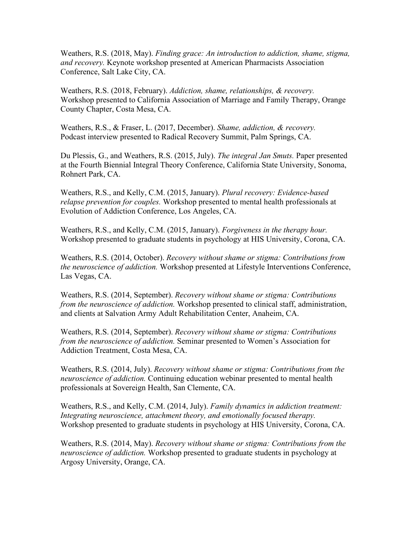Weathers, R.S. (2018, May). *Finding grace: An introduction to addiction, shame, stigma, and recovery.* Keynote workshop presented at American Pharmacists Association Conference, Salt Lake City, CA.

Weathers, R.S. (2018, February). *Addiction, shame, relationships, & recovery.* Workshop presented to California Association of Marriage and Family Therapy, Orange County Chapter, Costa Mesa, CA.

Weathers, R.S., & Fraser, L. (2017, December). *Shame, addiction, & recovery.* Podcast interview presented to Radical Recovery Summit, Palm Springs, CA.

Du Plessis, G., and Weathers, R.S. (2015, July). *The integral Jan Smuts.* Paper presented at the Fourth Biennial Integral Theory Conference, California State University, Sonoma, Rohnert Park, CA.

Weathers, R.S., and Kelly, C.M. (2015, January). *Plural recovery: Evidence-based relapse prevention for couples.* Workshop presented to mental health professionals at Evolution of Addiction Conference, Los Angeles, CA.

Weathers, R.S., and Kelly, C.M. (2015, January). *Forgiveness in the therapy hour.*  Workshop presented to graduate students in psychology at HIS University, Corona, CA.

Weathers, R.S. (2014, October). *Recovery without shame or stigma: Contributions from the neuroscience of addiction.* Workshop presented at Lifestyle Interventions Conference, Las Vegas, CA.

Weathers, R.S. (2014, September). *Recovery without shame or stigma: Contributions from the neuroscience of addiction.* Workshop presented to clinical staff, administration, and clients at Salvation Army Adult Rehabilitation Center, Anaheim, CA.

Weathers, R.S. (2014, September). *Recovery without shame or stigma: Contributions from the neuroscience of addiction.* Seminar presented to Women's Association for Addiction Treatment, Costa Mesa, CA.

Weathers, R.S. (2014, July). *Recovery without shame or stigma: Contributions from the neuroscience of addiction.* Continuing education webinar presented to mental health professionals at Sovereign Health, San Clemente, CA.

Weathers, R.S., and Kelly, C.M. (2014, July). *Family dynamics in addiction treatment: Integrating neuroscience, attachment theory, and emotionally focused therapy.* Workshop presented to graduate students in psychology at HIS University, Corona, CA.

Weathers, R.S. (2014, May). *Recovery without shame or stigma: Contributions from the neuroscience of addiction.* Workshop presented to graduate students in psychology at Argosy University, Orange, CA.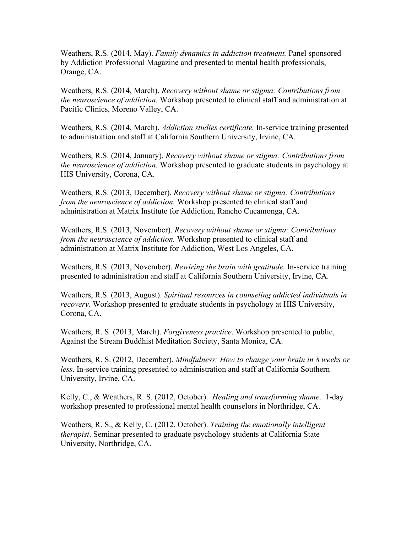Weathers, R.S. (2014, May). *Family dynamics in addiction treatment.* Panel sponsored by Addiction Professional Magazine and presented to mental health professionals, Orange, CA.

Weathers, R.S. (2014, March). *Recovery without shame or stigma: Contributions from the neuroscience of addiction.* Workshop presented to clinical staff and administration at Pacific Clinics, Moreno Valley, CA.

Weathers, R.S. (2014, March). *Addiction studies certificate.* In-service training presented to administration and staff at California Southern University, Irvine, CA.

Weathers, R.S. (2014, January). *Recovery without shame or stigma: Contributions from the neuroscience of addiction.* Workshop presented to graduate students in psychology at HIS University, Corona, CA.

Weathers, R.S. (2013, December). *Recovery without shame or stigma: Contributions from the neuroscience of addiction.* Workshop presented to clinical staff and administration at Matrix Institute for Addiction, Rancho Cucamonga, CA.

Weathers, R.S. (2013, November). *Recovery without shame or stigma: Contributions from the neuroscience of addiction.* Workshop presented to clinical staff and administration at Matrix Institute for Addiction, West Los Angeles, CA.

Weathers, R.S. (2013, November). *Rewiring the brain with gratitude.* In-service training presented to administration and staff at California Southern University, Irvine, CA.

Weathers, R.S. (2013, August). *Spiritual resources in counseling addicted individuals in recovery*. Workshop presented to graduate students in psychology at HIS University, Corona, CA.

Weathers, R. S. (2013, March). *Forgiveness practice*. Workshop presented to public, Against the Stream Buddhist Meditation Society, Santa Monica, CA.

Weathers, R. S. (2012, December). *Mindfulness: How to change your brain in 8 weeks or less*. In-service training presented to administration and staff at California Southern University, Irvine, CA.

Kelly, C., & Weathers, R. S. (2012, October). *Healing and transforming shame*. 1-day workshop presented to professional mental health counselors in Northridge, CA.

Weathers, R. S., & Kelly, C. (2012, October). *Training the emotionally intelligent therapist*. Seminar presented to graduate psychology students at California State University, Northridge, CA.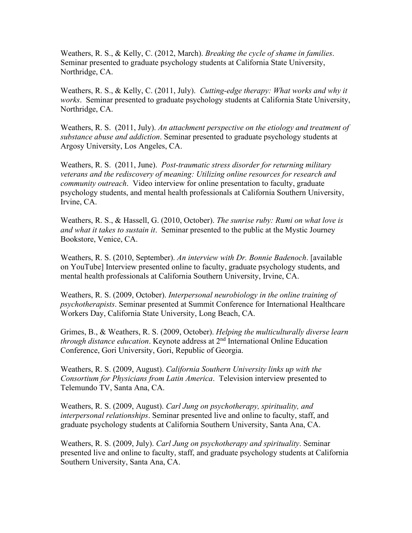Weathers, R. S., & Kelly, C. (2012, March). *Breaking the cycle of shame in families*. Seminar presented to graduate psychology students at California State University, Northridge, CA.

Weathers, R. S., & Kelly, C. (2011, July). *Cutting-edge therapy: What works and why it works*. Seminar presented to graduate psychology students at California State University, Northridge, CA.

Weathers, R. S. (2011, July). *An attachment perspective on the etiology and treatment of substance abuse and addiction*. Seminar presented to graduate psychology students at Argosy University, Los Angeles, CA.

Weathers, R. S. (2011, June). *Post-traumatic stress disorder for returning military veterans and the rediscovery of meaning: Utilizing online resources for research and community outreach*. Video interview for online presentation to faculty, graduate psychology students, and mental health professionals at California Southern University, Irvine, CA.

Weathers, R. S., & Hassell, G. (2010, October). *The sunrise ruby: Rumi on what love is and what it takes to sustain it*. Seminar presented to the public at the Mystic Journey Bookstore, Venice, CA.

Weathers, R. S. (2010, September). *An interview with Dr. Bonnie Badenoch*. [available on YouTube] Interview presented online to faculty, graduate psychology students, and mental health professionals at California Southern University, Irvine, CA.

Weathers, R. S. (2009, October). *Interpersonal neurobiology in the online training of psychotherapists*. Seminar presented at Summit Conference for International Healthcare Workers Day, California State University, Long Beach, CA.

Grimes, B., & Weathers, R. S. (2009, October). *Helping the multiculturally diverse learn through distance education*. Keynote address at 2nd International Online Education Conference, Gori University, Gori, Republic of Georgia.

Weathers, R. S. (2009, August). *California Southern University links up with the Consortium for Physicians from Latin America*. Television interview presented to Telemundo TV, Santa Ana, CA.

Weathers, R. S. (2009, August). *Carl Jung on psychotherapy, spirituality, and interpersonal relationships*. Seminar presented live and online to faculty, staff, and graduate psychology students at California Southern University, Santa Ana, CA.

Weathers, R. S. (2009, July). *Carl Jung on psychotherapy and spirituality*. Seminar presented live and online to faculty, staff, and graduate psychology students at California Southern University, Santa Ana, CA.